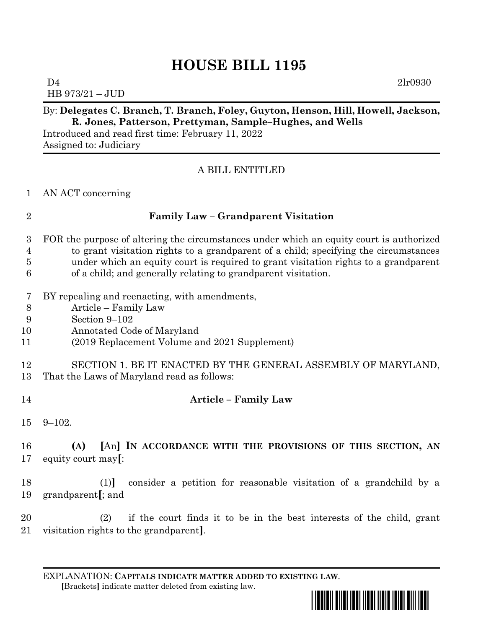# **HOUSE BILL 1195**

 $D4$   $2lr0930$ HB 973/21 – JUD

### By: **Delegates C. Branch, T. Branch, Foley, Guyton, Henson, Hill, Howell, Jackson, R. Jones, Patterson, Prettyman, Sample–Hughes, and Wells**

Introduced and read first time: February 11, 2022 Assigned to: Judiciary

### A BILL ENTITLED

AN ACT concerning

### **Family Law – Grandparent Visitation**

- FOR the purpose of altering the circumstances under which an equity court is authorized to grant visitation rights to a grandparent of a child; specifying the circumstances under which an equity court is required to grant visitation rights to a grandparent
- of a child; and generally relating to grandparent visitation.
- BY repealing and reenacting, with amendments,
- Article Family Law
- Section 9–102
- Annotated Code of Maryland
- (2019 Replacement Volume and 2021 Supplement)
- SECTION 1. BE IT ENACTED BY THE GENERAL ASSEMBLY OF MARYLAND,
- That the Laws of Maryland read as follows:
- 

### **Article – Family Law**

9–102.

## **(A) [**An**] IN ACCORDANCE WITH THE PROVISIONS OF THIS SECTION, AN**  equity court may**[**:

 (1)**]** consider a petition for reasonable visitation of a grandchild by a grandparent**[**; and

 (2) if the court finds it to be in the best interests of the child, grant visitation rights to the grandparent**]**.

EXPLANATION: **CAPITALS INDICATE MATTER ADDED TO EXISTING LAW**.  **[**Brackets**]** indicate matter deleted from existing law.

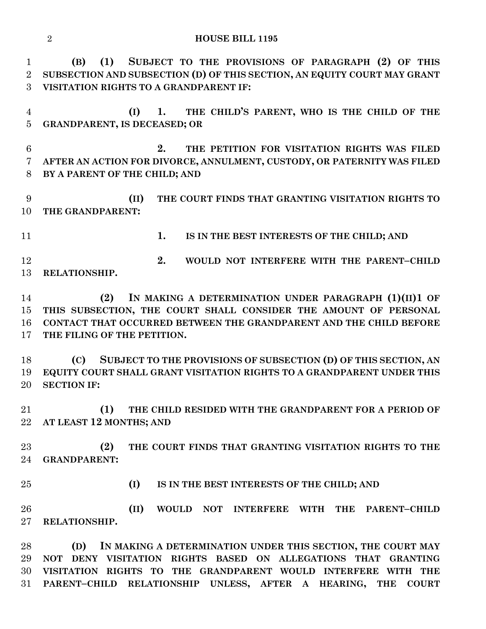**HOUSE BILL 1195**

 **(B) (1) SUBJECT TO THE PROVISIONS OF PARAGRAPH (2) OF THIS SUBSECTION AND SUBSECTION (D) OF THIS SECTION, AN EQUITY COURT MAY GRANT VISITATION RIGHTS TO A GRANDPARENT IF:**

 **(I) 1. THE CHILD'S PARENT, WHO IS THE CHILD OF THE GRANDPARENT, IS DECEASED; OR**

 **2. THE PETITION FOR VISITATION RIGHTS WAS FILED AFTER AN ACTION FOR DIVORCE, ANNULMENT, CUSTODY, OR PATERNITY WAS FILED BY A PARENT OF THE CHILD; AND**

 **(II) THE COURT FINDS THAT GRANTING VISITATION RIGHTS TO THE GRANDPARENT:**

**1. IS IN THE BEST INTERESTS OF THE CHILD; AND**

 **2. WOULD NOT INTERFERE WITH THE PARENT–CHILD RELATIONSHIP.**

 **(2) IN MAKING A DETERMINATION UNDER PARAGRAPH (1)(II)1 OF THIS SUBSECTION, THE COURT SHALL CONSIDER THE AMOUNT OF PERSONAL CONTACT THAT OCCURRED BETWEEN THE GRANDPARENT AND THE CHILD BEFORE THE FILING OF THE PETITION.**

 **(C) SUBJECT TO THE PROVISIONS OF SUBSECTION (D) OF THIS SECTION, AN EQUITY COURT SHALL GRANT VISITATION RIGHTS TO A GRANDPARENT UNDER THIS SECTION IF:**

 **(1) THE CHILD RESIDED WITH THE GRANDPARENT FOR A PERIOD OF AT LEAST 12 MONTHS; AND**

 **(2) THE COURT FINDS THAT GRANTING VISITATION RIGHTS TO THE GRANDPARENT:**

**(I) IS IN THE BEST INTERESTS OF THE CHILD; AND**

 **(II) WOULD NOT INTERFERE WITH THE PARENT–CHILD RELATIONSHIP.**

 **(D) IN MAKING A DETERMINATION UNDER THIS SECTION, THE COURT MAY NOT DENY VISITATION RIGHTS BASED ON ALLEGATIONS THAT GRANTING VISITATION RIGHTS TO THE GRANDPARENT WOULD INTERFERE WITH THE PARENT–CHILD RELATIONSHIP UNLESS, AFTER A HEARING, THE COURT**